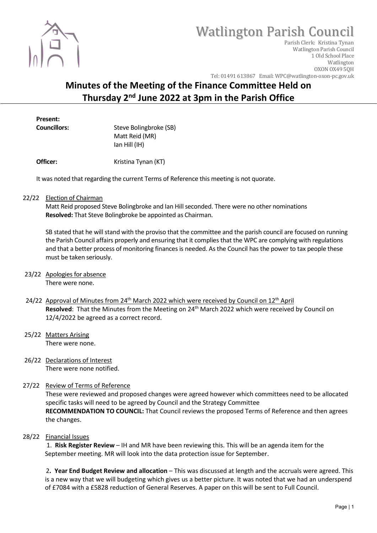

# Watlington Parish Council

Parish Clerk: Kristina Tynan Watlington Parish Council 1 Old School Place Watlington OXON OX49 5QH Tel: 01491 613867 Email: WPC@watlington-oxon-pc.gov.uk

# Minutes of the Meeting of the Finance Committee Held on Thursday 2nd June 2022 at 3pm in the Parish Office

Present:

Councillors: Steve Bolingbroke (SB) Matt Reid (MR) Ian Hill (IH)

**Officer:** Kristina Tynan (KT)

It was noted that regarding the current Terms of Reference this meeting is not quorate.

22/22 Election of Chairman

 Matt Reid proposed Steve Bolingbroke and Ian Hill seconded. There were no other nominations Resolved: That Steve Bolingbroke be appointed as Chairman.

 SB stated that he will stand with the proviso that the committee and the parish council are focused on running the Parish Council affairs properly and ensuring that it complies that the WPC are complying with regulations and that a better process of monitoring finances is needed. As the Council has the power to tax people these must be taken seriously.

- 23/22 Apologies for absence There were none.
- 24/22 Approval of Minutes from 24<sup>th</sup> March 2022 which were received by Council on 12<sup>th</sup> April Resolved: That the Minutes from the Meeting on 24<sup>th</sup> March 2022 which were received by Council on 12/4/2022 be agreed as a correct record.
- 25/22 Matters Arising There were none.
- 26/22 Declarations of Interest There were none notified.
- 27/22 Review of Terms of Reference These were reviewed and proposed changes were agreed however which committees need to be allocated specific tasks will need to be agreed by Council and the Strategy Committee RECOMMENDATION TO COUNCIL: That Council reviews the proposed Terms of Reference and then agrees the changes.
- 28/22 Financial Issues

 1. Risk Register Review – IH and MR have been reviewing this. This will be an agenda item for the September meeting. MR will look into the data protection issue for September.

2. Year End Budget Review and allocation – This was discussed at length and the accruals were agreed. This is a new way that we will budgeting which gives us a better picture. It was noted that we had an underspend of £7084 with a £5828 reduction of General Reserves. A paper on this will be sent to Full Council.